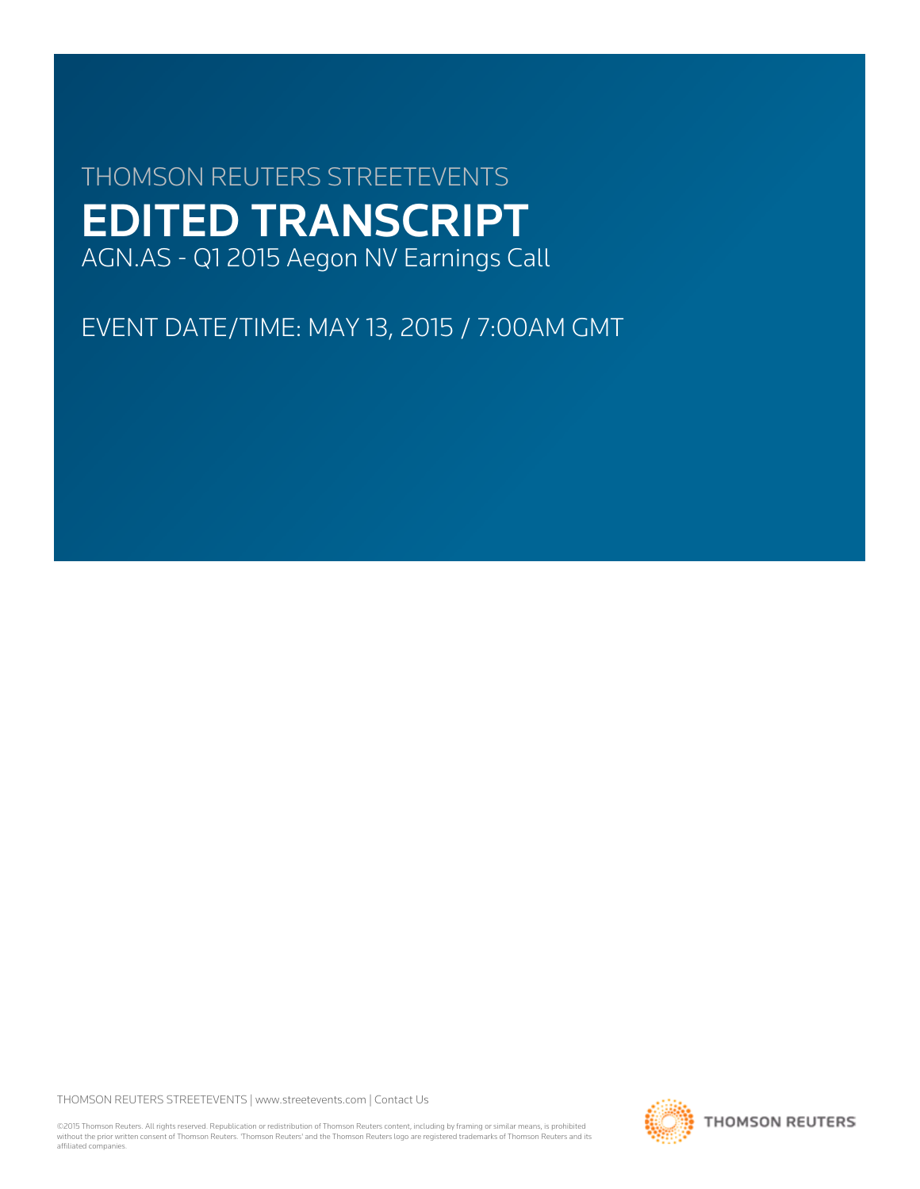# THOMSON REUTERS STREETEVENTS EDITED TRANSCRIPT AGN.AS - Q1 2015 Aegon NV Earnings Call

EVENT DATE/TIME: MAY 13, 2015 / 7:00AM GMT

THOMSON REUTERS STREETEVENTS | [www.streetevents.com](http://www.streetevents.com) | [Contact Us](http://www010.streetevents.com/contact.asp)

©2015 Thomson Reuters. All rights reserved. Republication or redistribution of Thomson Reuters content, including by framing or similar means, is prohibited without the prior written consent of Thomson Reuters. 'Thomson Reuters' and the Thomson Reuters logo are registered trademarks of Thomson Reuters and its affiliated companies.

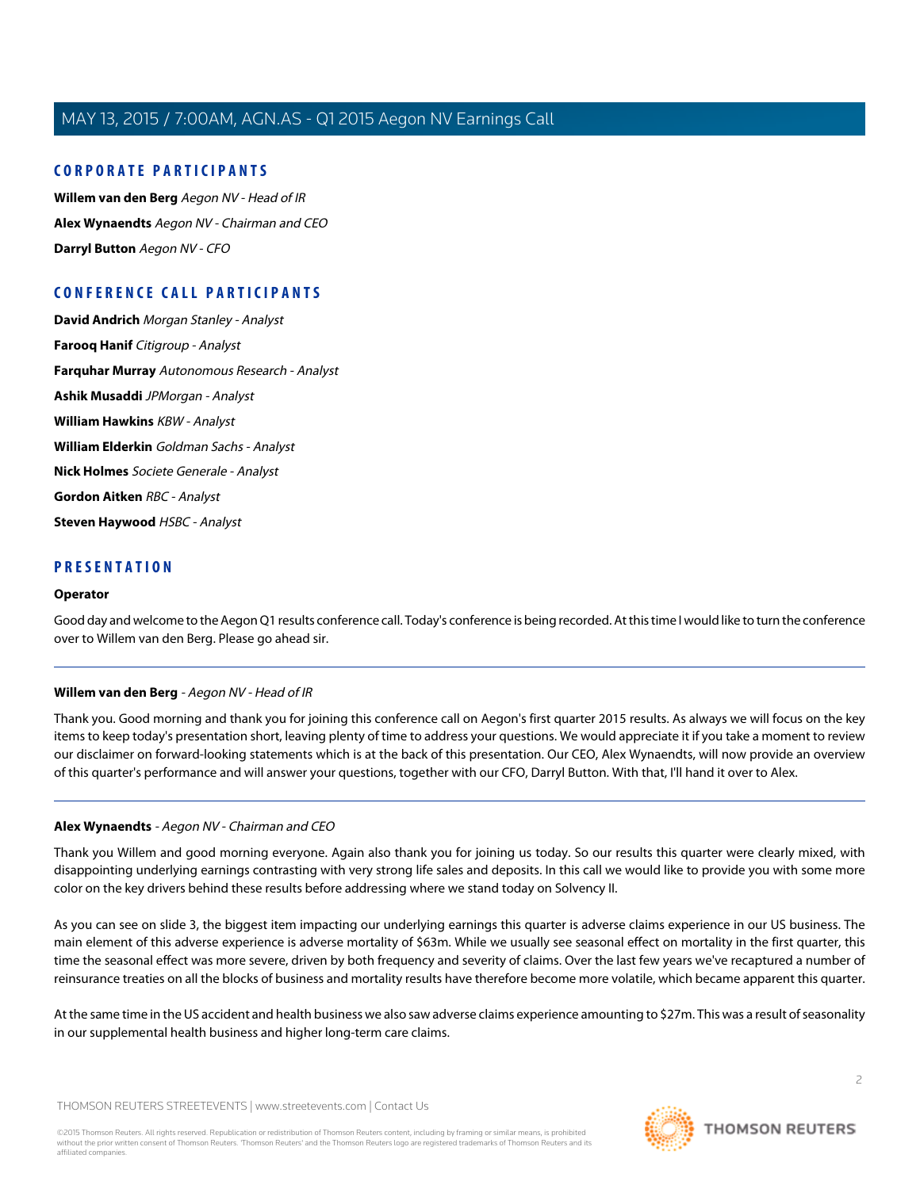# **CORPORATE PARTICIPANTS**

**[Willem van den Berg](#page-1-0)** Aegon NV - Head of IR **[Alex Wynaendts](#page-1-1)** Aegon NV - Chairman and CEO **[Darryl Button](#page-3-0)** Aegon NV - CFO

# **CONFERENCE CALL PARTICIPANTS**

**[David Andrich](#page-3-1)** Morgan Stanley - Analyst **[Farooq Hanif](#page-4-0)** Citigroup - Analyst **[Farquhar Murray](#page-5-0)** Autonomous Research - Analyst **[Ashik Musaddi](#page-6-0)** JPMorgan - Analyst **[William Hawkins](#page-8-0)** KBW - Analyst **[William Elderkin](#page-10-0)** Goldman Sachs - Analyst **[Nick Holmes](#page-11-0)** Societe Generale - Analyst **[Gordon Aitken](#page-13-0)** RBC - Analyst **[Steven Haywood](#page-14-0)** HSBC - Analyst

# **PRESENTATION**

#### **Operator**

<span id="page-1-0"></span>Good day and welcome to the Aegon Q1 results conference call. Today's conference is being recorded. At this time I would like to turn the conference over to Willem van den Berg. Please go ahead sir.

# **Willem van den Berg** - Aegon NV - Head of IR

<span id="page-1-1"></span>Thank you. Good morning and thank you for joining this conference call on Aegon's first quarter 2015 results. As always we will focus on the key items to keep today's presentation short, leaving plenty of time to address your questions. We would appreciate it if you take a moment to review our disclaimer on forward-looking statements which is at the back of this presentation. Our CEO, Alex Wynaendts, will now provide an overview of this quarter's performance and will answer your questions, together with our CFO, Darryl Button. With that, I'll hand it over to Alex.

# **Alex Wynaendts** - Aegon NV - Chairman and CEO

Thank you Willem and good morning everyone. Again also thank you for joining us today. So our results this quarter were clearly mixed, with disappointing underlying earnings contrasting with very strong life sales and deposits. In this call we would like to provide you with some more color on the key drivers behind these results before addressing where we stand today on Solvency II.

As you can see on slide 3, the biggest item impacting our underlying earnings this quarter is adverse claims experience in our US business. The main element of this adverse experience is adverse mortality of \$63m. While we usually see seasonal effect on mortality in the first quarter, this time the seasonal effect was more severe, driven by both frequency and severity of claims. Over the last few years we've recaptured a number of reinsurance treaties on all the blocks of business and mortality results have therefore become more volatile, which became apparent this quarter.

At the same time in the US accident and health business we also saw adverse claims experience amounting to \$27m. This was a result of seasonality in our supplemental health business and higher long-term care claims.

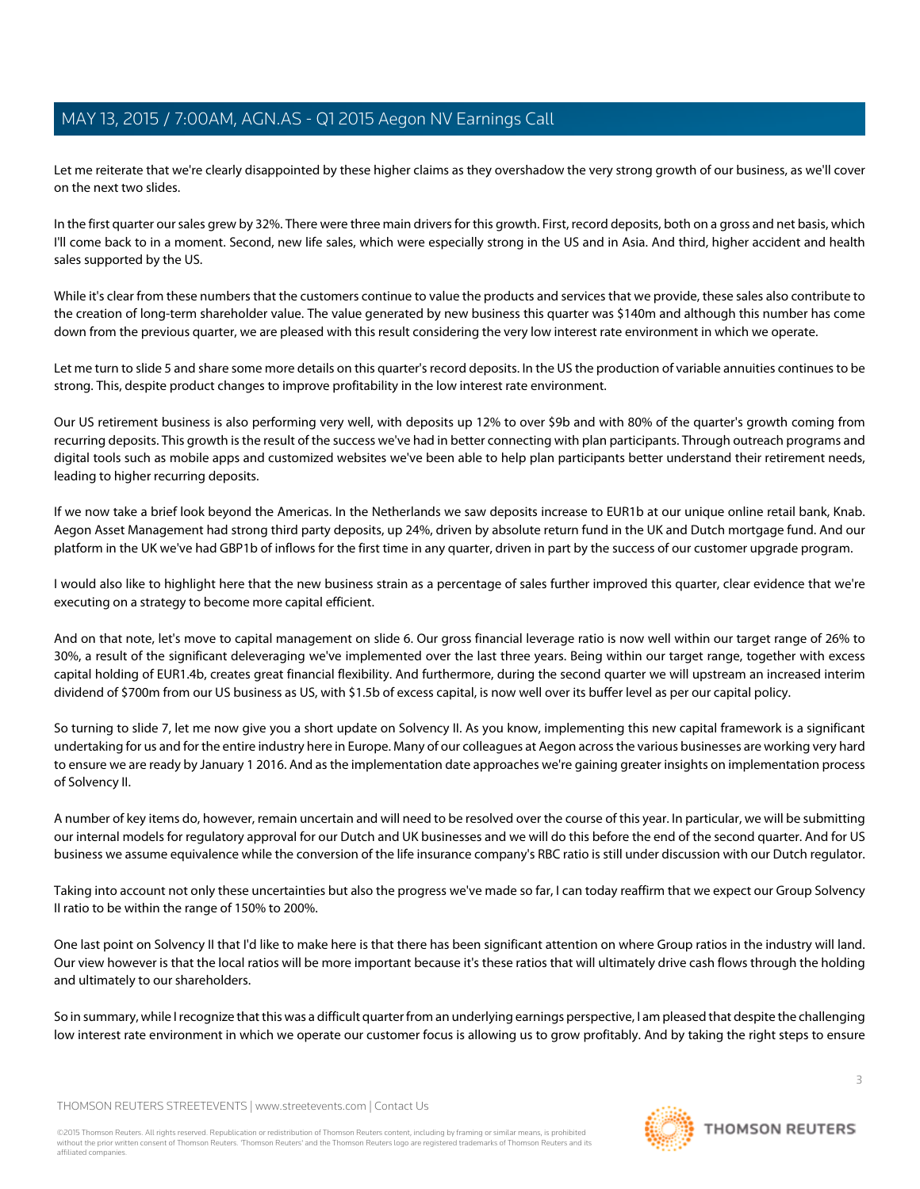Let me reiterate that we're clearly disappointed by these higher claims as they overshadow the very strong growth of our business, as we'll cover on the next two slides.

In the first quarter our sales grew by 32%. There were three main drivers for this growth. First, record deposits, both on a gross and net basis, which I'll come back to in a moment. Second, new life sales, which were especially strong in the US and in Asia. And third, higher accident and health sales supported by the US.

While it's clear from these numbers that the customers continue to value the products and services that we provide, these sales also contribute to the creation of long-term shareholder value. The value generated by new business this quarter was \$140m and although this number has come down from the previous quarter, we are pleased with this result considering the very low interest rate environment in which we operate.

Let me turn to slide 5 and share some more details on this quarter's record deposits. In the US the production of variable annuities continues to be strong. This, despite product changes to improve profitability in the low interest rate environment.

Our US retirement business is also performing very well, with deposits up 12% to over \$9b and with 80% of the quarter's growth coming from recurring deposits. This growth is the result of the success we've had in better connecting with plan participants. Through outreach programs and digital tools such as mobile apps and customized websites we've been able to help plan participants better understand their retirement needs, leading to higher recurring deposits.

If we now take a brief look beyond the Americas. In the Netherlands we saw deposits increase to EUR1b at our unique online retail bank, Knab. Aegon Asset Management had strong third party deposits, up 24%, driven by absolute return fund in the UK and Dutch mortgage fund. And our platform in the UK we've had GBP1b of inflows for the first time in any quarter, driven in part by the success of our customer upgrade program.

I would also like to highlight here that the new business strain as a percentage of sales further improved this quarter, clear evidence that we're executing on a strategy to become more capital efficient.

And on that note, let's move to capital management on slide 6. Our gross financial leverage ratio is now well within our target range of 26% to 30%, a result of the significant deleveraging we've implemented over the last three years. Being within our target range, together with excess capital holding of EUR1.4b, creates great financial flexibility. And furthermore, during the second quarter we will upstream an increased interim dividend of \$700m from our US business as US, with \$1.5b of excess capital, is now well over its buffer level as per our capital policy.

So turning to slide 7, let me now give you a short update on Solvency II. As you know, implementing this new capital framework is a significant undertaking for us and for the entire industry here in Europe. Many of our colleagues at Aegon across the various businesses are working very hard to ensure we are ready by January 1 2016. And as the implementation date approaches we're gaining greater insights on implementation process of Solvency II.

A number of key items do, however, remain uncertain and will need to be resolved over the course of this year. In particular, we will be submitting our internal models for regulatory approval for our Dutch and UK businesses and we will do this before the end of the second quarter. And for US business we assume equivalence while the conversion of the life insurance company's RBC ratio is still under discussion with our Dutch regulator.

Taking into account not only these uncertainties but also the progress we've made so far, I can today reaffirm that we expect our Group Solvency II ratio to be within the range of 150% to 200%.

One last point on Solvency II that I'd like to make here is that there has been significant attention on where Group ratios in the industry will land. Our view however is that the local ratios will be more important because it's these ratios that will ultimately drive cash flows through the holding and ultimately to our shareholders.

So in summary, while I recognize that this was a difficult quarter from an underlying earnings perspective, I am pleased that despite the challenging low interest rate environment in which we operate our customer focus is allowing us to grow profitably. And by taking the right steps to ensure

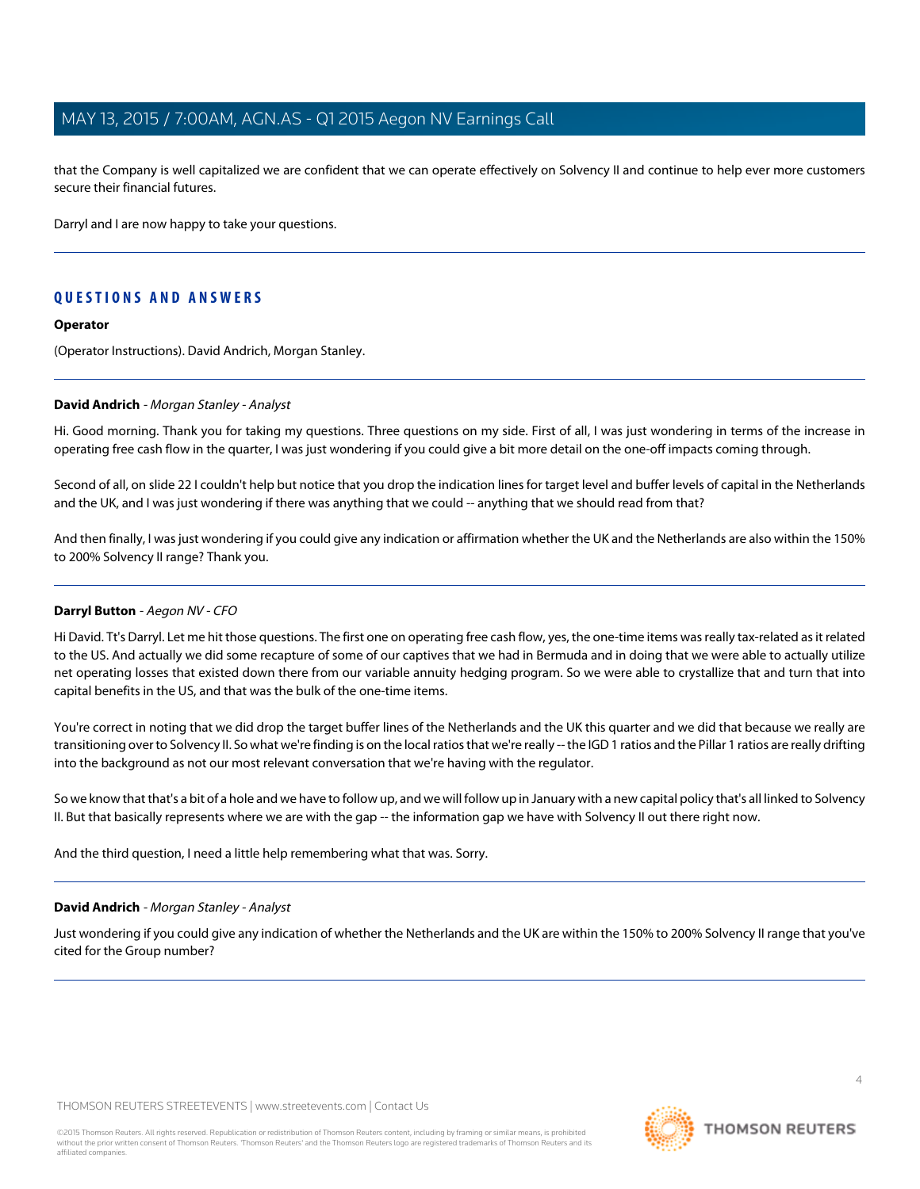that the Company is well capitalized we are confident that we can operate effectively on Solvency II and continue to help ever more customers secure their financial futures.

Darryl and I are now happy to take your questions.

# **QUESTIONS AND ANSWERS**

# **Operator**

<span id="page-3-1"></span>(Operator Instructions). David Andrich, Morgan Stanley.

# **David Andrich** - Morgan Stanley - Analyst

Hi. Good morning. Thank you for taking my questions. Three questions on my side. First of all, I was just wondering in terms of the increase in operating free cash flow in the quarter, I was just wondering if you could give a bit more detail on the one-off impacts coming through.

Second of all, on slide 22 I couldn't help but notice that you drop the indication lines for target level and buffer levels of capital in the Netherlands and the UK, and I was just wondering if there was anything that we could -- anything that we should read from that?

<span id="page-3-0"></span>And then finally, I was just wondering if you could give any indication or affirmation whether the UK and the Netherlands are also within the 150% to 200% Solvency II range? Thank you.

# **Darryl Button** - Aegon NV - CFO

Hi David. Tt's Darryl. Let me hit those questions. The first one on operating free cash flow, yes, the one-time items was really tax-related as it related to the US. And actually we did some recapture of some of our captives that we had in Bermuda and in doing that we were able to actually utilize net operating losses that existed down there from our variable annuity hedging program. So we were able to crystallize that and turn that into capital benefits in the US, and that was the bulk of the one-time items.

You're correct in noting that we did drop the target buffer lines of the Netherlands and the UK this quarter and we did that because we really are transitioning over to Solvency II. So what we're finding is on the local ratios that we're really -- the IGD 1 ratios and the Pillar 1 ratios are really drifting into the background as not our most relevant conversation that we're having with the regulator.

So we know that that's a bit of a hole and we have to follow up, and we will follow up in January with a new capital policy that's all linked to Solvency II. But that basically represents where we are with the gap -- the information gap we have with Solvency II out there right now.

And the third question, I need a little help remembering what that was. Sorry.

# **David Andrich** - Morgan Stanley - Analyst

Just wondering if you could give any indication of whether the Netherlands and the UK are within the 150% to 200% Solvency II range that you've cited for the Group number?



 $\Delta$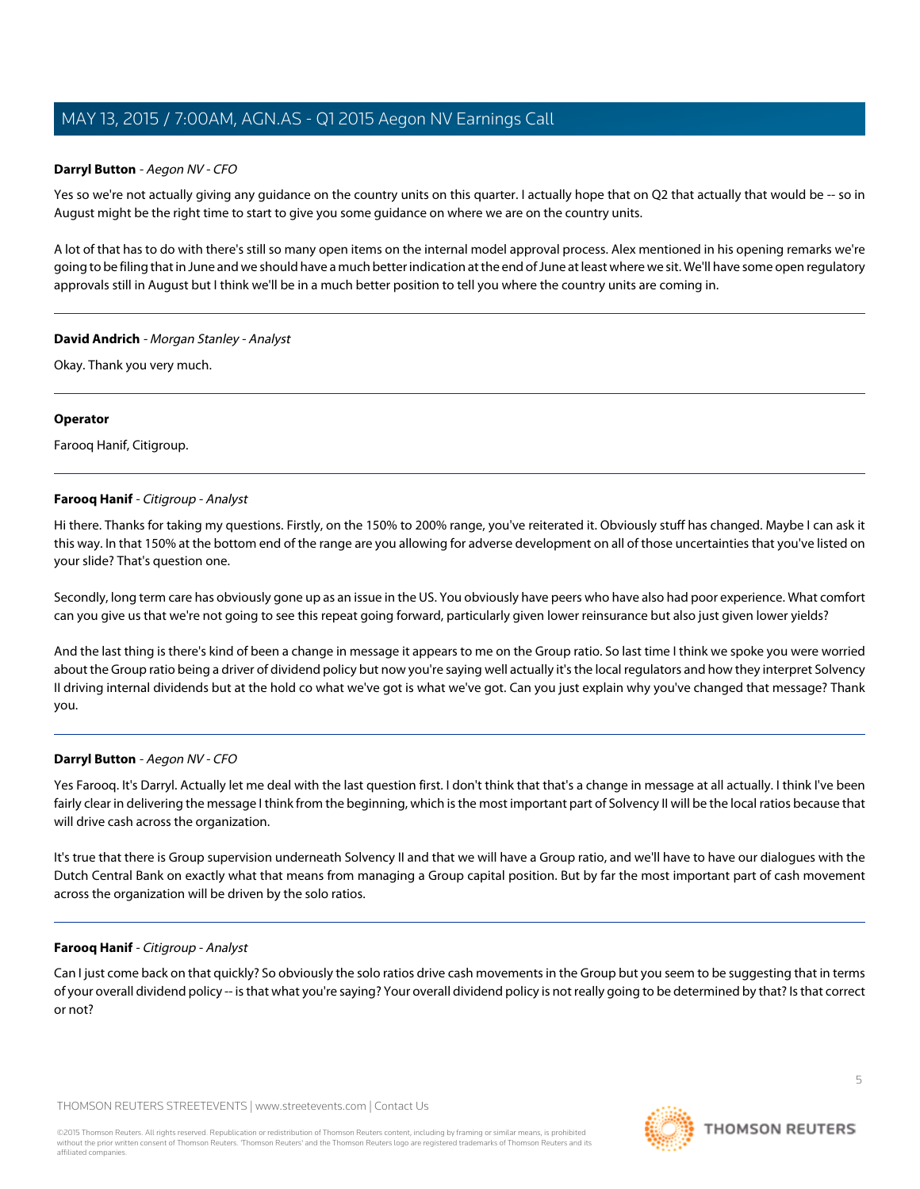# **Darryl Button** - Aegon NV - CFO

Yes so we're not actually giving any guidance on the country units on this guarter. I actually hope that on Q2 that actually that would be -- so in August might be the right time to start to give you some guidance on where we are on the country units.

A lot of that has to do with there's still so many open items on the internal model approval process. Alex mentioned in his opening remarks we're going to be filing that in June and we should have a much better indication at the end of June at least where we sit. We'll have some open regulatory approvals still in August but I think we'll be in a much better position to tell you where the country units are coming in.

# **David Andrich** - Morgan Stanley - Analyst

Okay. Thank you very much.

# **Operator**

<span id="page-4-0"></span>Farooq Hanif, Citigroup.

# **Farooq Hanif** - Citigroup - Analyst

Hi there. Thanks for taking my questions. Firstly, on the 150% to 200% range, you've reiterated it. Obviously stuff has changed. Maybe I can ask it this way. In that 150% at the bottom end of the range are you allowing for adverse development on all of those uncertainties that you've listed on your slide? That's question one.

Secondly, long term care has obviously gone up as an issue in the US. You obviously have peers who have also had poor experience. What comfort can you give us that we're not going to see this repeat going forward, particularly given lower reinsurance but also just given lower yields?

And the last thing is there's kind of been a change in message it appears to me on the Group ratio. So last time I think we spoke you were worried about the Group ratio being a driver of dividend policy but now you're saying well actually it's the local regulators and how they interpret Solvency II driving internal dividends but at the hold co what we've got is what we've got. Can you just explain why you've changed that message? Thank you.

# **Darryl Button** - Aegon NV - CFO

Yes Farooq. It's Darryl. Actually let me deal with the last question first. I don't think that that's a change in message at all actually. I think I've been fairly clear in delivering the message I think from the beginning, which is the most important part of Solvency II will be the local ratios because that will drive cash across the organization.

It's true that there is Group supervision underneath Solvency II and that we will have a Group ratio, and we'll have to have our dialogues with the Dutch Central Bank on exactly what that means from managing a Group capital position. But by far the most important part of cash movement across the organization will be driven by the solo ratios.

# **Farooq Hanif** - Citigroup - Analyst

Can I just come back on that quickly? So obviously the solo ratios drive cash movements in the Group but you seem to be suggesting that in terms of your overall dividend policy -- is that what you're saying? Your overall dividend policy is not really going to be determined by that? Is that correct or not?

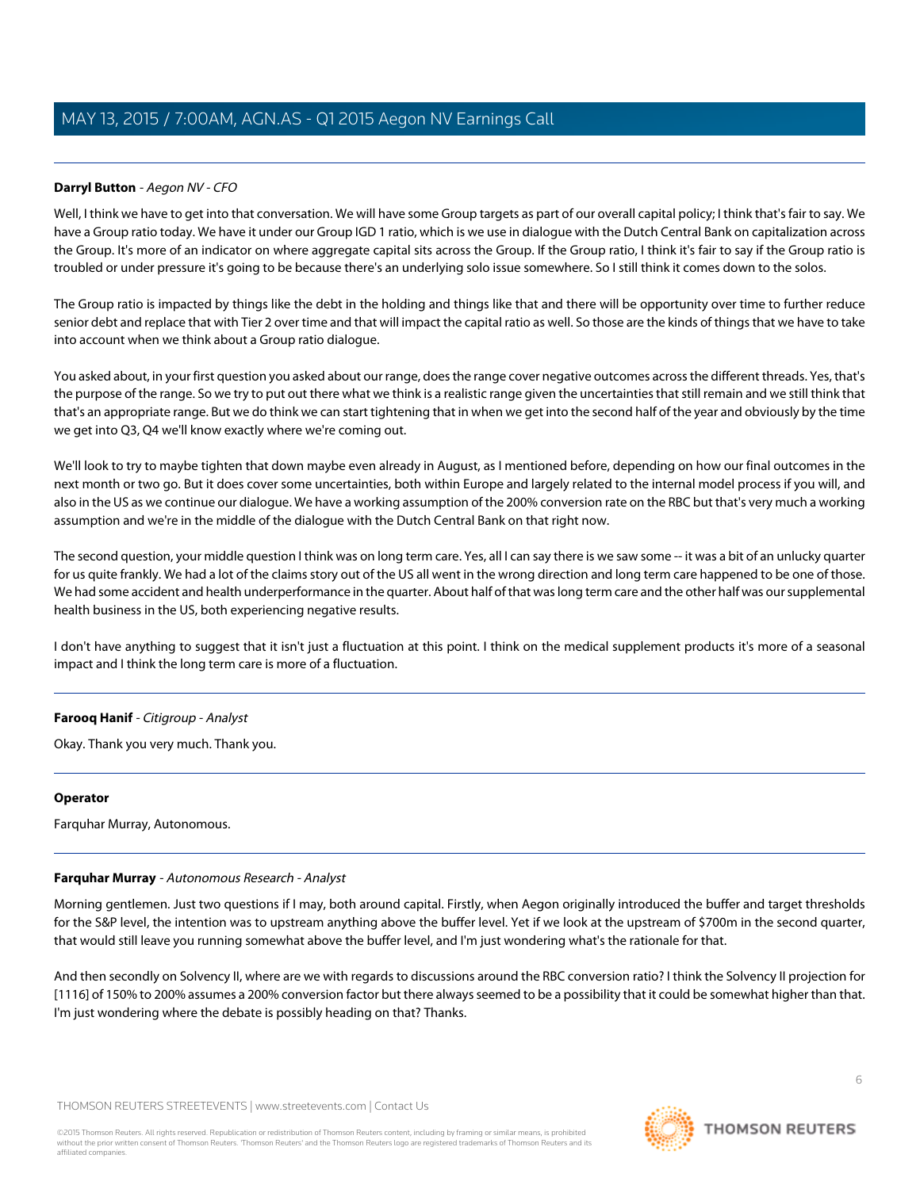# **Darryl Button** - Aegon NV - CFO

Well, I think we have to get into that conversation. We will have some Group targets as part of our overall capital policy; I think that's fair to say. We have a Group ratio today. We have it under our Group IGD 1 ratio, which is we use in dialogue with the Dutch Central Bank on capitalization across the Group. It's more of an indicator on where aggregate capital sits across the Group. If the Group ratio, I think it's fair to say if the Group ratio is troubled or under pressure it's going to be because there's an underlying solo issue somewhere. So I still think it comes down to the solos.

The Group ratio is impacted by things like the debt in the holding and things like that and there will be opportunity over time to further reduce senior debt and replace that with Tier 2 over time and that will impact the capital ratio as well. So those are the kinds of things that we have to take into account when we think about a Group ratio dialogue.

You asked about, in your first question you asked about our range, does the range cover negative outcomes across the different threads. Yes, that's the purpose of the range. So we try to put out there what we think is a realistic range given the uncertainties that still remain and we still think that that's an appropriate range. But we do think we can start tightening that in when we get into the second half of the year and obviously by the time we get into Q3, Q4 we'll know exactly where we're coming out.

We'll look to try to maybe tighten that down maybe even already in August, as I mentioned before, depending on how our final outcomes in the next month or two go. But it does cover some uncertainties, both within Europe and largely related to the internal model process if you will, and also in the US as we continue our dialogue. We have a working assumption of the 200% conversion rate on the RBC but that's very much a working assumption and we're in the middle of the dialogue with the Dutch Central Bank on that right now.

The second question, your middle question I think was on long term care. Yes, all I can say there is we saw some -- it was a bit of an unlucky quarter for us quite frankly. We had a lot of the claims story out of the US all went in the wrong direction and long term care happened to be one of those. We had some accident and health underperformance in the quarter. About half of that was long term care and the other half was our supplemental health business in the US, both experiencing negative results.

I don't have anything to suggest that it isn't just a fluctuation at this point. I think on the medical supplement products it's more of a seasonal impact and I think the long term care is more of a fluctuation.

# **Farooq Hanif** - Citigroup - Analyst

Okay. Thank you very much. Thank you.

# <span id="page-5-0"></span>**Operator**

Farquhar Murray, Autonomous.

# **Farquhar Murray** - Autonomous Research - Analyst

Morning gentlemen. Just two questions if I may, both around capital. Firstly, when Aegon originally introduced the buffer and target thresholds for the S&P level, the intention was to upstream anything above the buffer level. Yet if we look at the upstream of \$700m in the second quarter, that would still leave you running somewhat above the buffer level, and I'm just wondering what's the rationale for that.

And then secondly on Solvency II, where are we with regards to discussions around the RBC conversion ratio? I think the Solvency II projection for [1116] of 150% to 200% assumes a 200% conversion factor but there always seemed to be a possibility that it could be somewhat higher than that. I'm just wondering where the debate is possibly heading on that? Thanks.

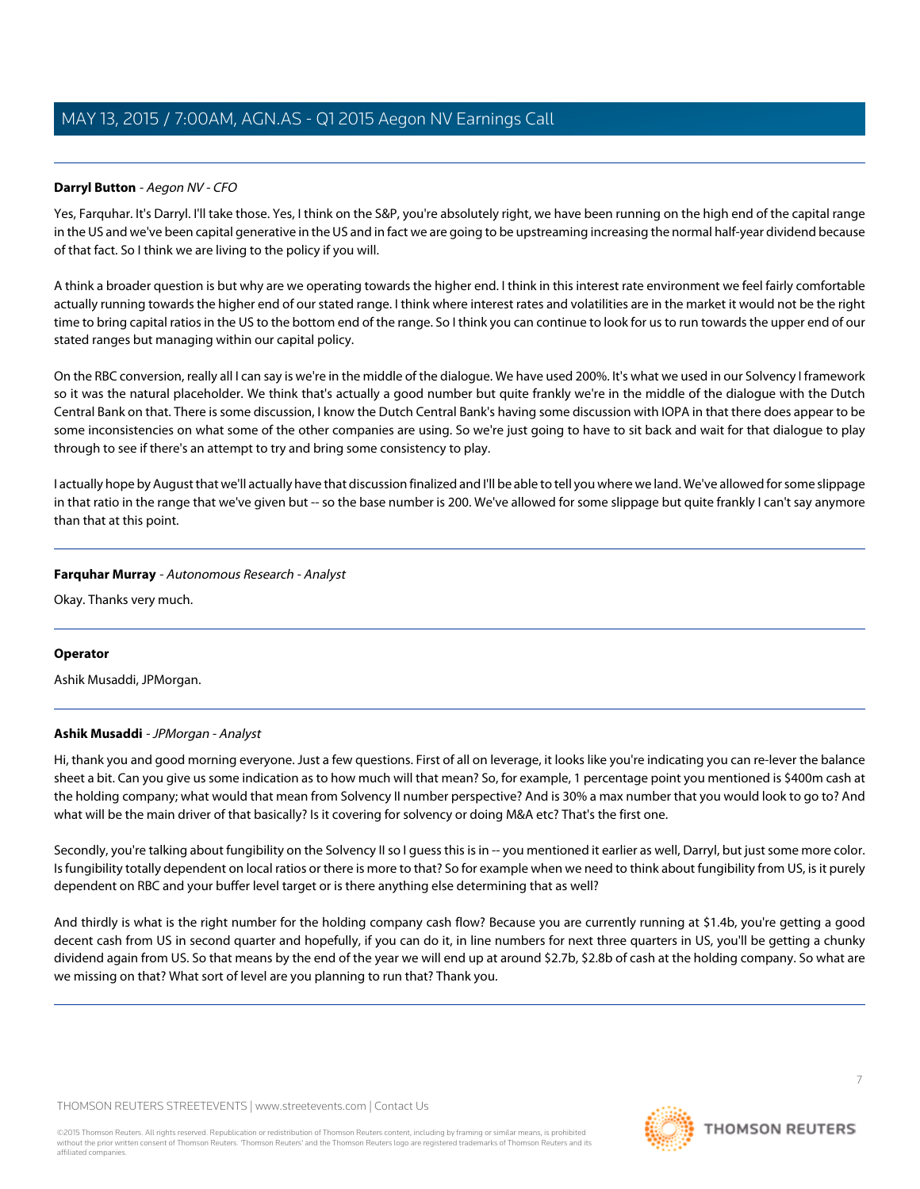# **Darryl Button** - Aegon NV - CFO

Yes, Farquhar. It's Darryl. I'll take those. Yes, I think on the S&P, you're absolutely right, we have been running on the high end of the capital range in the US and we've been capital generative in the US and in fact we are going to be upstreaming increasing the normal half-year dividend because of that fact. So I think we are living to the policy if you will.

A think a broader question is but why are we operating towards the higher end. I think in this interest rate environment we feel fairly comfortable actually running towards the higher end of our stated range. I think where interest rates and volatilities are in the market it would not be the right time to bring capital ratios in the US to the bottom end of the range. So I think you can continue to look for us to run towards the upper end of our stated ranges but managing within our capital policy.

On the RBC conversion, really all I can say is we're in the middle of the dialogue. We have used 200%. It's what we used in our Solvency I framework so it was the natural placeholder. We think that's actually a good number but quite frankly we're in the middle of the dialogue with the Dutch Central Bank on that. There is some discussion, I know the Dutch Central Bank's having some discussion with IOPA in that there does appear to be some inconsistencies on what some of the other companies are using. So we're just going to have to sit back and wait for that dialogue to play through to see if there's an attempt to try and bring some consistency to play.

I actually hope by August that we'll actually have that discussion finalized and I'll be able to tell you where we land. We've allowed for some slippage in that ratio in the range that we've given but -- so the base number is 200. We've allowed for some slippage but quite frankly I can't say anymore than that at this point.

# **Farquhar Murray** - Autonomous Research - Analyst

Okay. Thanks very much.

# <span id="page-6-0"></span>**Operator**

Ashik Musaddi, JPMorgan.

# **Ashik Musaddi** - JPMorgan - Analyst

Hi, thank you and good morning everyone. Just a few questions. First of all on leverage, it looks like you're indicating you can re-lever the balance sheet a bit. Can you give us some indication as to how much will that mean? So, for example, 1 percentage point you mentioned is \$400m cash at the holding company; what would that mean from Solvency II number perspective? And is 30% a max number that you would look to go to? And what will be the main driver of that basically? Is it covering for solvency or doing M&A etc? That's the first one.

Secondly, you're talking about fungibility on the Solvency II so I guess this is in -- you mentioned it earlier as well, Darryl, but just some more color. Is fungibility totally dependent on local ratios or there is more to that? So for example when we need to think about fungibility from US, is it purely dependent on RBC and your buffer level target or is there anything else determining that as well?

And thirdly is what is the right number for the holding company cash flow? Because you are currently running at \$1.4b, you're getting a good decent cash from US in second quarter and hopefully, if you can do it, in line numbers for next three quarters in US, you'll be getting a chunky dividend again from US. So that means by the end of the year we will end up at around \$2.7b, \$2.8b of cash at the holding company. So what are we missing on that? What sort of level are you planning to run that? Thank you.

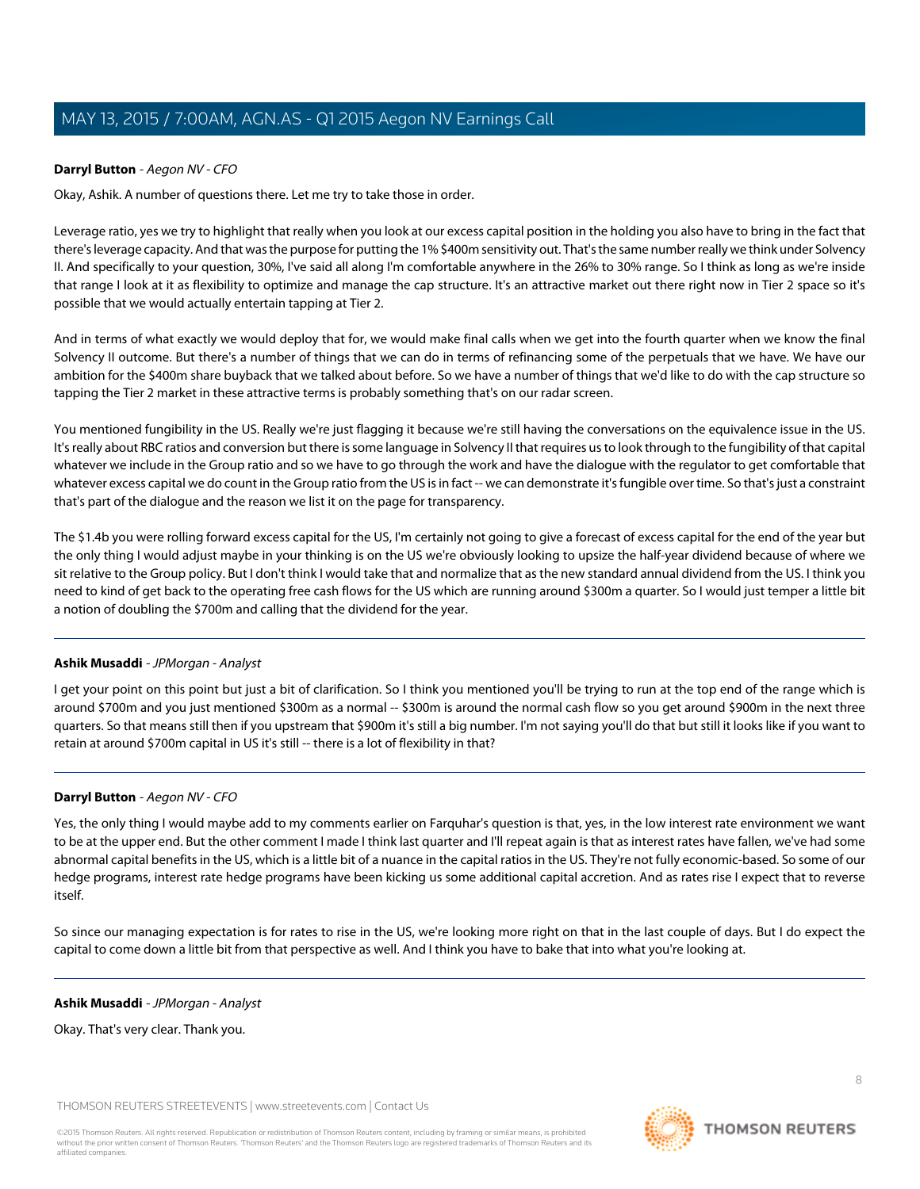# **Darryl Button** - Aegon NV - CFO

Okay, Ashik. A number of questions there. Let me try to take those in order.

Leverage ratio, yes we try to highlight that really when you look at our excess capital position in the holding you also have to bring in the fact that there's leverage capacity. And that was the purpose for putting the 1% \$400m sensitivity out. That's the same number really we think under Solvency II. And specifically to your question, 30%, I've said all along I'm comfortable anywhere in the 26% to 30% range. So I think as long as we're inside that range I look at it as flexibility to optimize and manage the cap structure. It's an attractive market out there right now in Tier 2 space so it's possible that we would actually entertain tapping at Tier 2.

And in terms of what exactly we would deploy that for, we would make final calls when we get into the fourth quarter when we know the final Solvency II outcome. But there's a number of things that we can do in terms of refinancing some of the perpetuals that we have. We have our ambition for the \$400m share buyback that we talked about before. So we have a number of things that we'd like to do with the cap structure so tapping the Tier 2 market in these attractive terms is probably something that's on our radar screen.

You mentioned fungibility in the US. Really we're just flagging it because we're still having the conversations on the equivalence issue in the US. It's really about RBC ratios and conversion but there is some language in Solvency II that requires us to look through to the fungibility of that capital whatever we include in the Group ratio and so we have to go through the work and have the dialogue with the regulator to get comfortable that whatever excess capital we do count in the Group ratio from the US is in fact -- we can demonstrate it's fungible over time. So that's just a constraint that's part of the dialogue and the reason we list it on the page for transparency.

The \$1.4b you were rolling forward excess capital for the US, I'm certainly not going to give a forecast of excess capital for the end of the year but the only thing I would adjust maybe in your thinking is on the US we're obviously looking to upsize the half-year dividend because of where we sit relative to the Group policy. But I don't think I would take that and normalize that as the new standard annual dividend from the US. I think you need to kind of get back to the operating free cash flows for the US which are running around \$300m a quarter. So I would just temper a little bit a notion of doubling the \$700m and calling that the dividend for the year.

# **Ashik Musaddi** - JPMorgan - Analyst

I get your point on this point but just a bit of clarification. So I think you mentioned you'll be trying to run at the top end of the range which is around \$700m and you just mentioned \$300m as a normal -- \$300m is around the normal cash flow so you get around \$900m in the next three quarters. So that means still then if you upstream that \$900m it's still a big number. I'm not saying you'll do that but still it looks like if you want to retain at around \$700m capital in US it's still -- there is a lot of flexibility in that?

# **Darryl Button** - Aegon NV - CFO

Yes, the only thing I would maybe add to my comments earlier on Farquhar's question is that, yes, in the low interest rate environment we want to be at the upper end. But the other comment I made I think last quarter and I'll repeat again is that as interest rates have fallen, we've had some abnormal capital benefits in the US, which is a little bit of a nuance in the capital ratios in the US. They're not fully economic-based. So some of our hedge programs, interest rate hedge programs have been kicking us some additional capital accretion. And as rates rise I expect that to reverse itself.

So since our managing expectation is for rates to rise in the US, we're looking more right on that in the last couple of days. But I do expect the capital to come down a little bit from that perspective as well. And I think you have to bake that into what you're looking at.

# **Ashik Musaddi** - JPMorgan - Analyst

Okay. That's very clear. Thank you.

THOMSON REUTERS STREETEVENTS | [www.streetevents.com](http://www.streetevents.com) | [Contact Us](http://www010.streetevents.com/contact.asp)

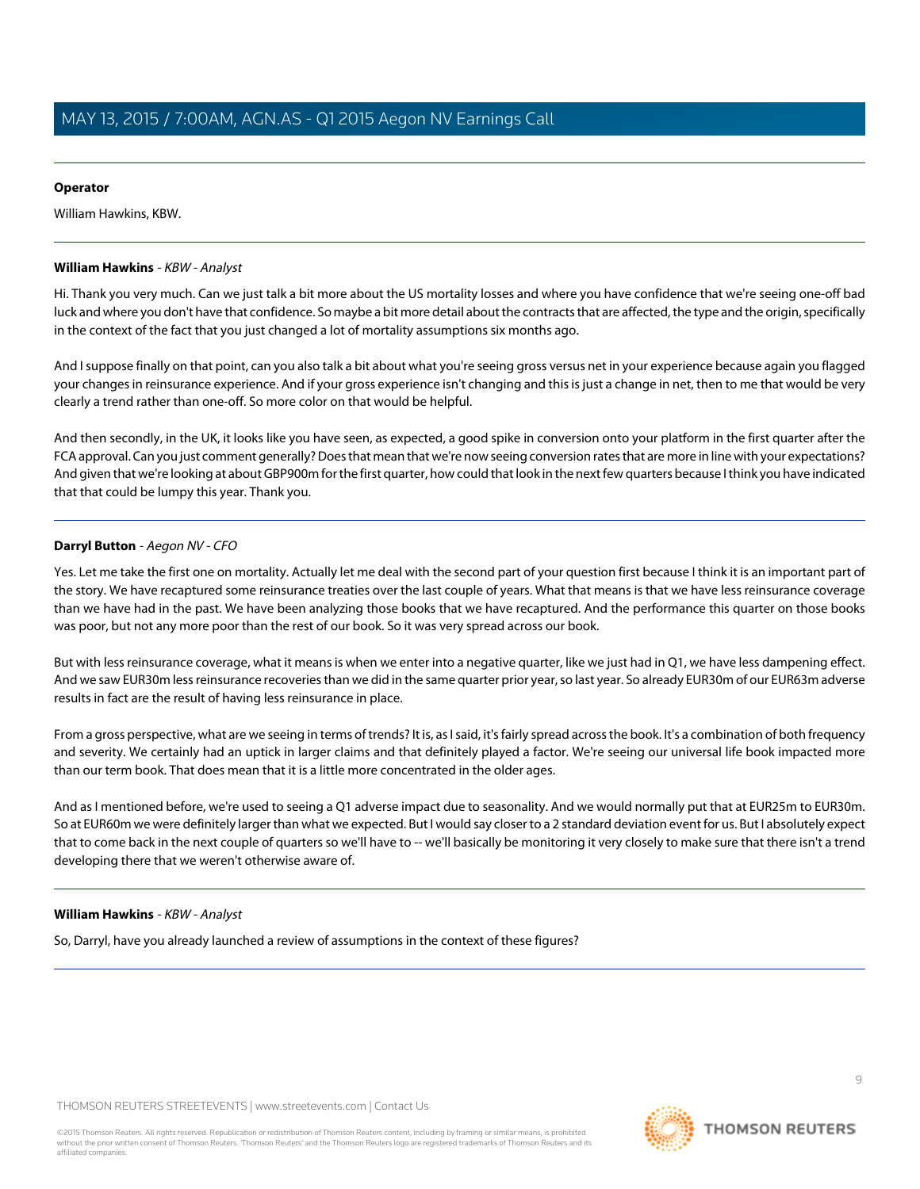# **Operator**

William Hawkins, KBW.

# <span id="page-8-0"></span>**William Hawkins** - KBW - Analyst

Hi. Thank you very much. Can we just talk a bit more about the US mortality losses and where you have confidence that we're seeing one-off bad luck and where you don't have that confidence. So maybe a bit more detail about the contracts that are affected, the type and the origin, specifically in the context of the fact that you just changed a lot of mortality assumptions six months ago.

And I suppose finally on that point, can you also talk a bit about what you're seeing gross versus net in your experience because again you flagged your changes in reinsurance experience. And if your gross experience isn't changing and this is just a change in net, then to me that would be very clearly a trend rather than one-off. So more color on that would be helpful.

And then secondly, in the UK, it looks like you have seen, as expected, a good spike in conversion onto your platform in the first quarter after the FCA approval. Can you just comment generally? Does that mean that we're now seeing conversion rates that are more in line with your expectations? And given that we're looking at about GBP900m for the first quarter, how could that look in the next few quarters because I think you have indicated that that could be lumpy this year. Thank you.

# **Darryl Button** - Aegon NV - CFO

Yes. Let me take the first one on mortality. Actually let me deal with the second part of your question first because I think it is an important part of the story. We have recaptured some reinsurance treaties over the last couple of years. What that means is that we have less reinsurance coverage than we have had in the past. We have been analyzing those books that we have recaptured. And the performance this quarter on those books was poor, but not any more poor than the rest of our book. So it was very spread across our book.

But with less reinsurance coverage, what it means is when we enter into a negative quarter, like we just had in Q1, we have less dampening effect. And we saw EUR30m less reinsurance recoveries than we did in the same quarter prior year, so last year. So already EUR30m of our EUR63m adverse results in fact are the result of having less reinsurance in place.

From a gross perspective, what are we seeing in terms of trends? It is, as I said, it's fairly spread across the book. It's a combination of both frequency and severity. We certainly had an uptick in larger claims and that definitely played a factor. We're seeing our universal life book impacted more than our term book. That does mean that it is a little more concentrated in the older ages.

And as I mentioned before, we're used to seeing a Q1 adverse impact due to seasonality. And we would normally put that at EUR25m to EUR30m. So at EUR60m we were definitely larger than what we expected. But I would say closer to a 2 standard deviation event for us. But I absolutely expect that to come back in the next couple of quarters so we'll have to -- we'll basically be monitoring it very closely to make sure that there isn't a trend developing there that we weren't otherwise aware of.

# **William Hawkins** - KBW - Analyst

So, Darryl, have you already launched a review of assumptions in the context of these figures?

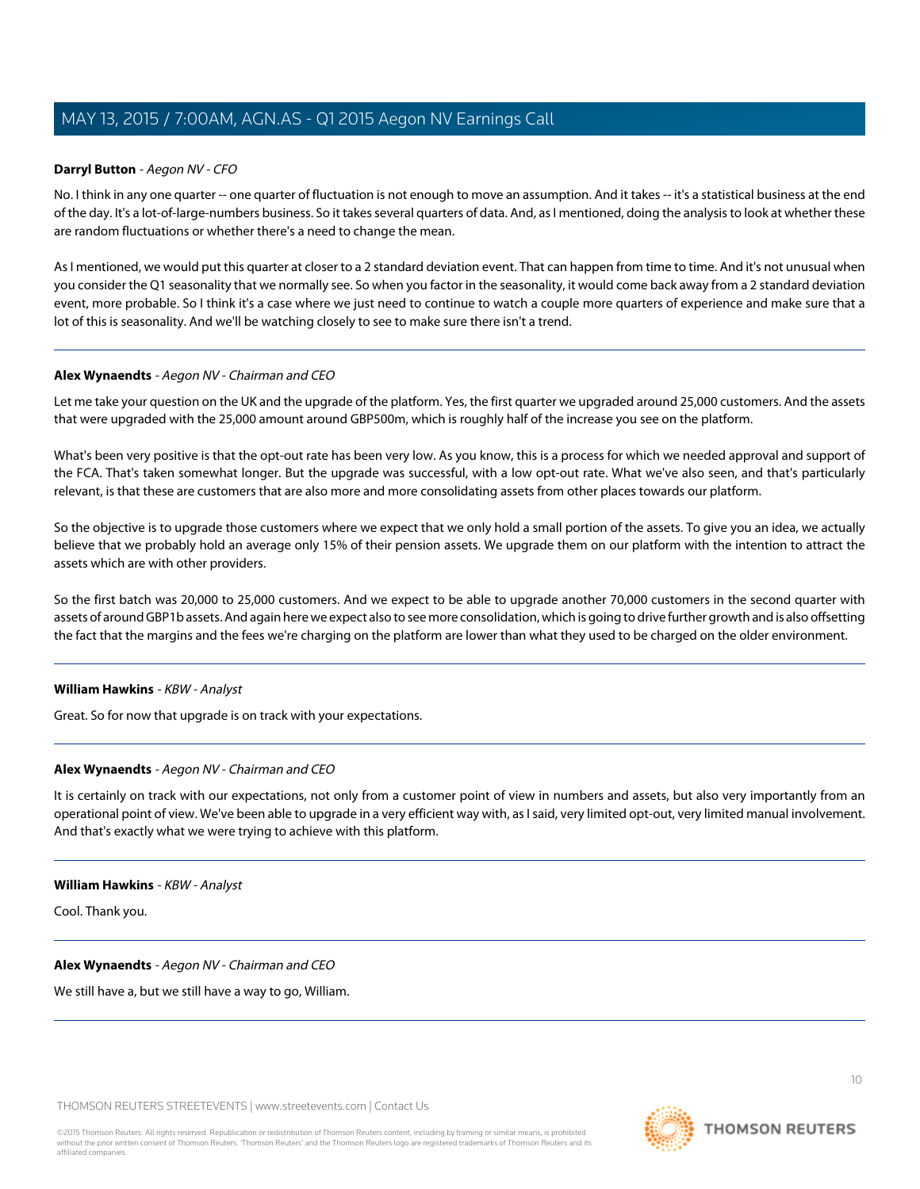# **Darryl Button** - Aegon NV - CFO

No. I think in any one quarter -- one quarter of fluctuation is not enough to move an assumption. And it takes -- it's a statistical business at the end of the day. It's a lot-of-large-numbers business. So it takes several quarters of data. And, as I mentioned, doing the analysis to look at whether these are random fluctuations or whether there's a need to change the mean.

As I mentioned, we would put this quarter at closer to a 2 standard deviation event. That can happen from time to time. And it's not unusual when you consider the Q1 seasonality that we normally see. So when you factor in the seasonality, it would come back away from a 2 standard deviation event, more probable. So I think it's a case where we just need to continue to watch a couple more quarters of experience and make sure that a lot of this is seasonality. And we'll be watching closely to see to make sure there isn't a trend.

#### **Alex Wynaendts** - Aegon NV - Chairman and CEO

Let me take your question on the UK and the upgrade of the platform. Yes, the first quarter we upgraded around 25,000 customers. And the assets that were upgraded with the 25,000 amount around GBP500m, which is roughly half of the increase you see on the platform.

What's been very positive is that the opt-out rate has been very low. As you know, this is a process for which we needed approval and support of the FCA. That's taken somewhat longer. But the upgrade was successful, with a low opt-out rate. What we've also seen, and that's particularly relevant, is that these are customers that are also more and more consolidating assets from other places towards our platform.

So the objective is to upgrade those customers where we expect that we only hold a small portion of the assets. To give you an idea, we actually believe that we probably hold an average only 15% of their pension assets. We upgrade them on our platform with the intention to attract the assets which are with other providers.

So the first batch was 20,000 to 25,000 customers. And we expect to be able to upgrade another 70,000 customers in the second quarter with assets of around GBP1b assets. And again here we expect also to see more consolidation, which is going to drive further growth and is also offsetting the fact that the margins and the fees we're charging on the platform are lower than what they used to be charged on the older environment.

# **William Hawkins** - KBW - Analyst

Great. So for now that upgrade is on track with your expectations.

# **Alex Wynaendts** - Aegon NV - Chairman and CEO

It is certainly on track with our expectations, not only from a customer point of view in numbers and assets, but also very importantly from an operational point of view. We've been able to upgrade in a very efficient way with, as I said, very limited opt-out, very limited manual involvement. And that's exactly what we were trying to achieve with this platform.

#### **William Hawkins** - KBW - Analyst

Cool. Thank you.

# **Alex Wynaendts** - Aegon NV - Chairman and CEO

We still have a, but we still have a way to go, William.

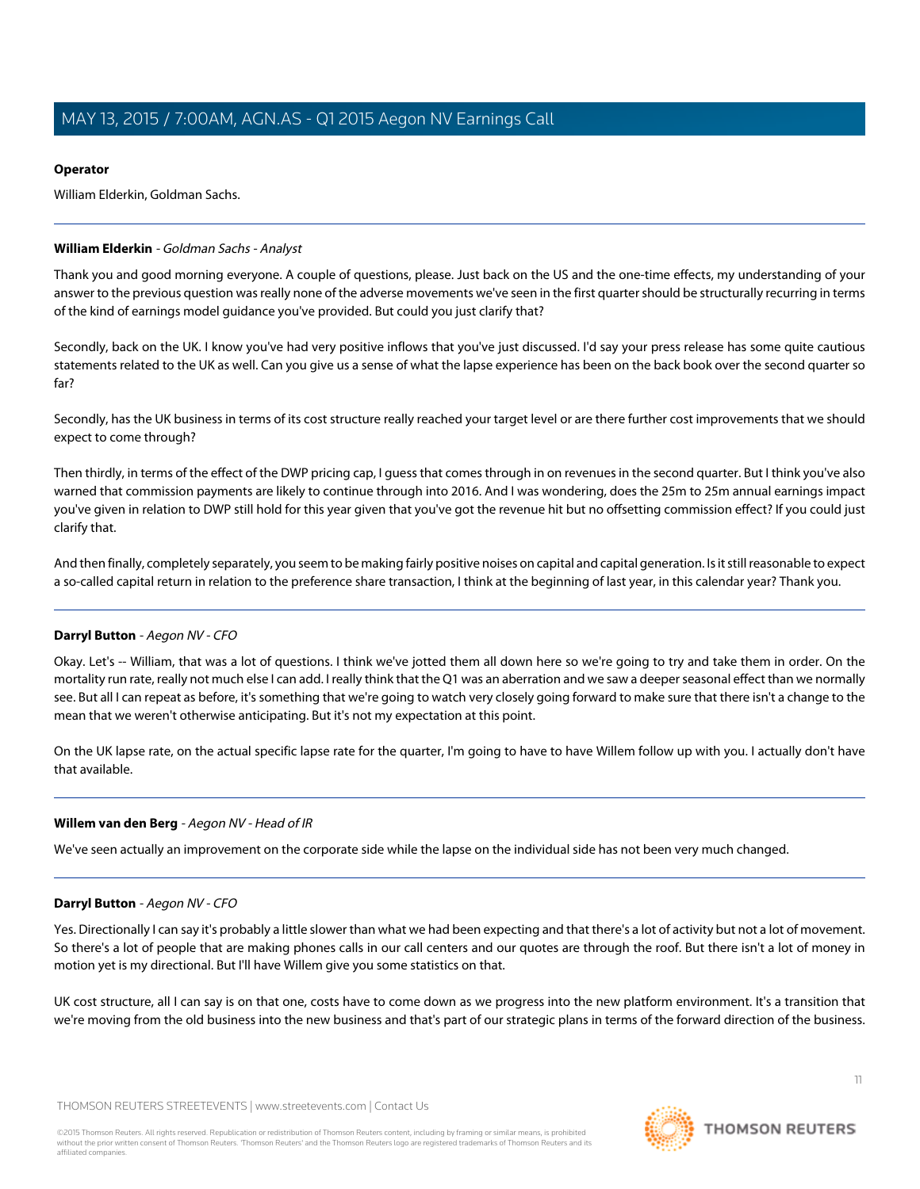# **Operator**

William Elderkin, Goldman Sachs.

# <span id="page-10-0"></span>**William Elderkin** - Goldman Sachs - Analyst

Thank you and good morning everyone. A couple of questions, please. Just back on the US and the one-time effects, my understanding of your answer to the previous question was really none of the adverse movements we've seen in the first quarter should be structurally recurring in terms of the kind of earnings model guidance you've provided. But could you just clarify that?

Secondly, back on the UK. I know you've had very positive inflows that you've just discussed. I'd say your press release has some quite cautious statements related to the UK as well. Can you give us a sense of what the lapse experience has been on the back book over the second quarter so far?

Secondly, has the UK business in terms of its cost structure really reached your target level or are there further cost improvements that we should expect to come through?

Then thirdly, in terms of the effect of the DWP pricing cap, I guess that comes through in on revenues in the second quarter. But I think you've also warned that commission payments are likely to continue through into 2016. And I was wondering, does the 25m to 25m annual earnings impact you've given in relation to DWP still hold for this year given that you've got the revenue hit but no offsetting commission effect? If you could just clarify that.

And then finally, completely separately, you seem to be making fairly positive noises on capital and capital generation. Is it still reasonable to expect a so-called capital return in relation to the preference share transaction, I think at the beginning of last year, in this calendar year? Thank you.

# **Darryl Button** - Aegon NV - CFO

Okay. Let's -- William, that was a lot of questions. I think we've jotted them all down here so we're going to try and take them in order. On the mortality run rate, really not much else I can add. I really think that the Q1 was an aberration and we saw a deeper seasonal effect than we normally see. But all I can repeat as before, it's something that we're going to watch very closely going forward to make sure that there isn't a change to the mean that we weren't otherwise anticipating. But it's not my expectation at this point.

On the UK lapse rate, on the actual specific lapse rate for the quarter, I'm going to have to have Willem follow up with you. I actually don't have that available.

# **Willem van den Berg** - Aegon NV - Head of IR

We've seen actually an improvement on the corporate side while the lapse on the individual side has not been very much changed.

# **Darryl Button** - Aegon NV - CFO

Yes. Directionally I can say it's probably a little slower than what we had been expecting and that there's a lot of activity but not a lot of movement. So there's a lot of people that are making phones calls in our call centers and our quotes are through the roof. But there isn't a lot of money in motion yet is my directional. But I'll have Willem give you some statistics on that.

UK cost structure, all I can say is on that one, costs have to come down as we progress into the new platform environment. It's a transition that we're moving from the old business into the new business and that's part of our strategic plans in terms of the forward direction of the business.

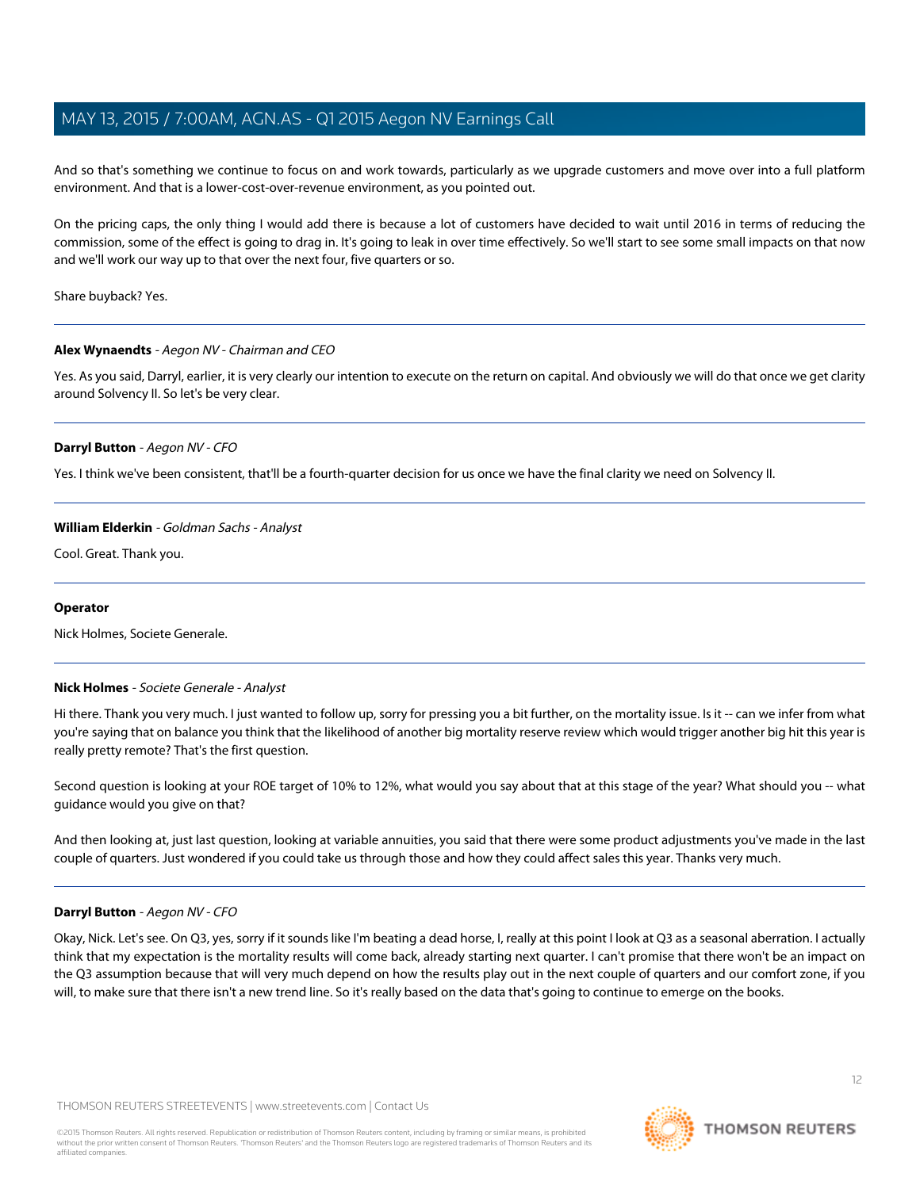And so that's something we continue to focus on and work towards, particularly as we upgrade customers and move over into a full platform environment. And that is a lower-cost-over-revenue environment, as you pointed out.

On the pricing caps, the only thing I would add there is because a lot of customers have decided to wait until 2016 in terms of reducing the commission, some of the effect is going to drag in. It's going to leak in over time effectively. So we'll start to see some small impacts on that now and we'll work our way up to that over the next four, five quarters or so.

Share buyback? Yes.

# **Alex Wynaendts** - Aegon NV - Chairman and CEO

Yes. As you said, Darryl, earlier, it is very clearly our intention to execute on the return on capital. And obviously we will do that once we get clarity around Solvency II. So let's be very clear.

# **Darryl Button** - Aegon NV - CFO

Yes. I think we've been consistent, that'll be a fourth-quarter decision for us once we have the final clarity we need on Solvency II.

# **William Elderkin** - Goldman Sachs - Analyst

Cool. Great. Thank you.

# <span id="page-11-0"></span>**Operator**

Nick Holmes, Societe Generale.

# **Nick Holmes** - Societe Generale - Analyst

Hi there. Thank you very much. I just wanted to follow up, sorry for pressing you a bit further, on the mortality issue. Is it -- can we infer from what you're saying that on balance you think that the likelihood of another big mortality reserve review which would trigger another big hit this year is really pretty remote? That's the first question.

Second question is looking at your ROE target of 10% to 12%, what would you say about that at this stage of the year? What should you -- what guidance would you give on that?

And then looking at, just last question, looking at variable annuities, you said that there were some product adjustments you've made in the last couple of quarters. Just wondered if you could take us through those and how they could affect sales this year. Thanks very much.

# **Darryl Button** - Aegon NV - CFO

Okay, Nick. Let's see. On Q3, yes, sorry if it sounds like I'm beating a dead horse, I, really at this point I look at Q3 as a seasonal aberration. I actually think that my expectation is the mortality results will come back, already starting next quarter. I can't promise that there won't be an impact on the Q3 assumption because that will very much depend on how the results play out in the next couple of quarters and our comfort zone, if you will, to make sure that there isn't a new trend line. So it's really based on the data that's going to continue to emerge on the books.

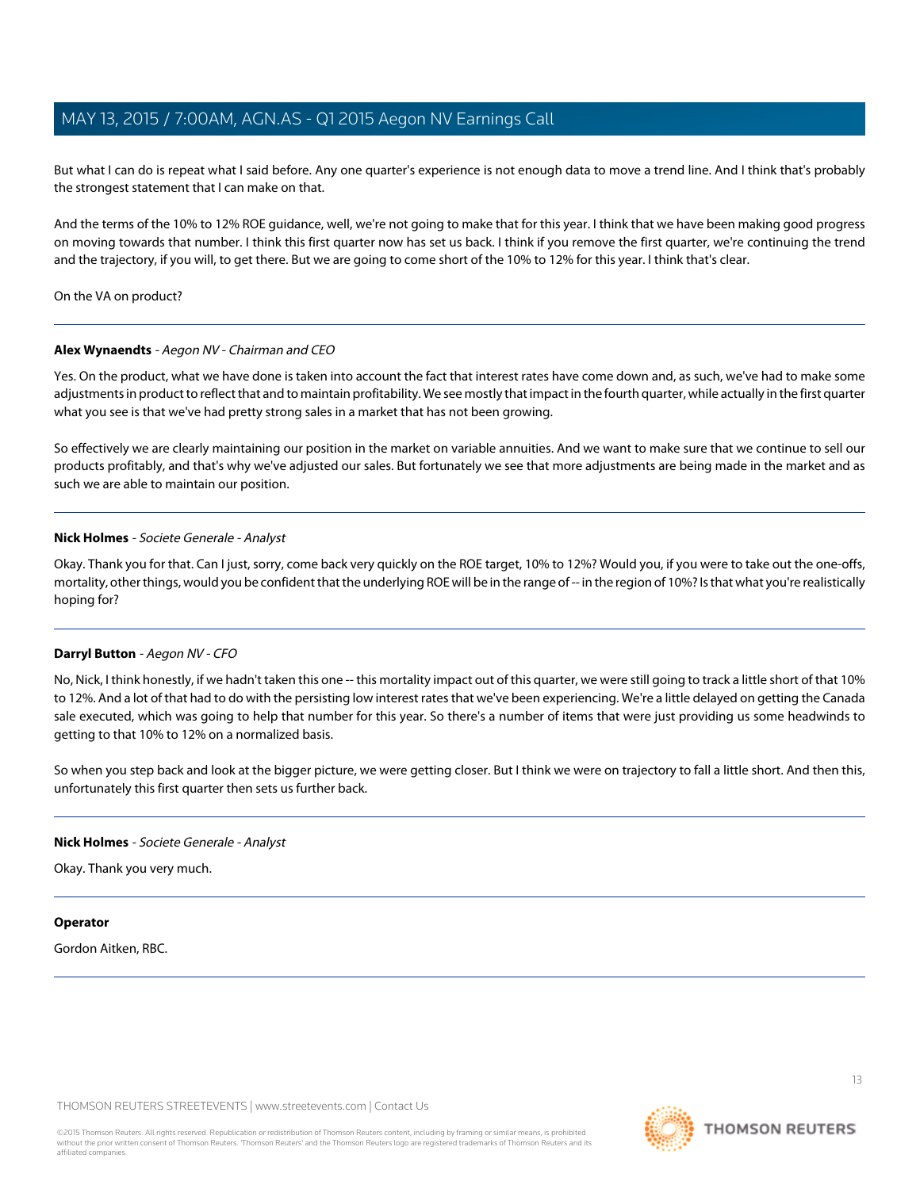But what I can do is repeat what I said before. Any one quarter's experience is not enough data to move a trend line. And I think that's probably the strongest statement that I can make on that.

And the terms of the 10% to 12% ROE guidance, well, we're not going to make that for this year. I think that we have been making good progress on moving towards that number. I think this first quarter now has set us back. I think if you remove the first quarter, we're continuing the trend and the trajectory, if you will, to get there. But we are going to come short of the 10% to 12% for this year. I think that's clear.

On the VA on product?

# **Alex Wynaendts** - Aegon NV - Chairman and CEO

Yes. On the product, what we have done is taken into account the fact that interest rates have come down and, as such, we've had to make some adjustments in product to reflect that and to maintain profitability. We see mostly that impact in the fourth quarter, while actually in the first quarter what you see is that we've had pretty strong sales in a market that has not been growing.

So effectively we are clearly maintaining our position in the market on variable annuities. And we want to make sure that we continue to sell our products profitably, and that's why we've adjusted our sales. But fortunately we see that more adjustments are being made in the market and as such we are able to maintain our position.

# **Nick Holmes** - Societe Generale - Analyst

Okay. Thank you for that. Can I just, sorry, come back very quickly on the ROE target, 10% to 12%? Would you, if you were to take out the one-offs, mortality, other things, would you be confident that the underlying ROE will be in the range of -- in the region of 10%? Is that what you're realistically hoping for?

# **Darryl Button** - Aegon NV - CFO

No, Nick, I think honestly, if we hadn't taken this one -- this mortality impact out of this quarter, we were still going to track a little short of that 10% to 12%. And a lot of that had to do with the persisting low interest rates that we've been experiencing. We're a little delayed on getting the Canada sale executed, which was going to help that number for this year. So there's a number of items that were just providing us some headwinds to getting to that 10% to 12% on a normalized basis.

So when you step back and look at the bigger picture, we were getting closer. But I think we were on trajectory to fall a little short. And then this, unfortunately this first quarter then sets us further back.

# **Nick Holmes** - Societe Generale - Analyst

Okay. Thank you very much.

# **Operator**

Gordon Aitken, RBC.

THOMSON REUTERS STREETEVENTS | [www.streetevents.com](http://www.streetevents.com) | [Contact Us](http://www010.streetevents.com/contact.asp)

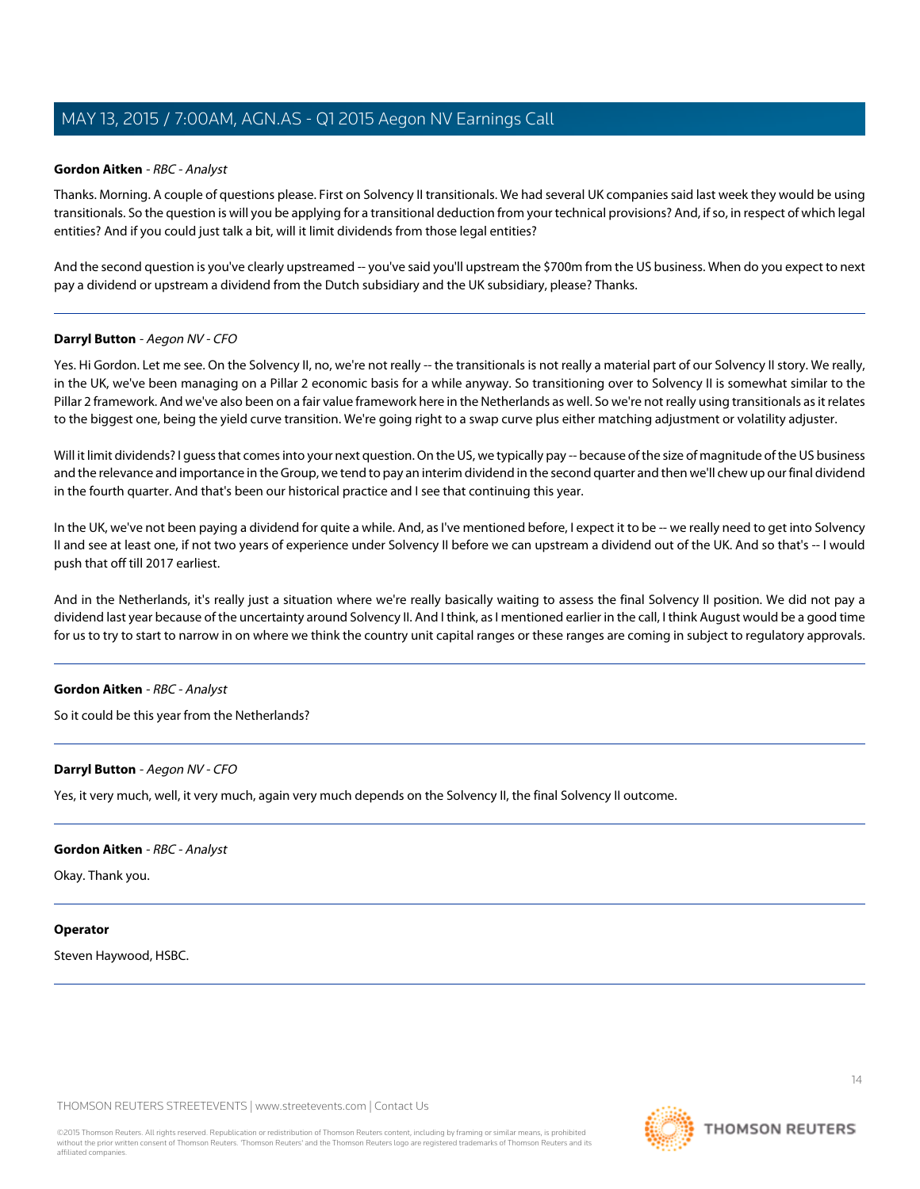# <span id="page-13-0"></span>**Gordon Aitken** - RBC - Analyst

Thanks. Morning. A couple of questions please. First on Solvency II transitionals. We had several UK companies said last week they would be using transitionals. So the question is will you be applying for a transitional deduction from your technical provisions? And, if so, in respect of which legal entities? And if you could just talk a bit, will it limit dividends from those legal entities?

And the second question is you've clearly upstreamed -- you've said you'll upstream the \$700m from the US business. When do you expect to next pay a dividend or upstream a dividend from the Dutch subsidiary and the UK subsidiary, please? Thanks.

# **Darryl Button** - Aegon NV - CFO

Yes. Hi Gordon. Let me see. On the Solvency II, no, we're not really -- the transitionals is not really a material part of our Solvency II story. We really, in the UK, we've been managing on a Pillar 2 economic basis for a while anyway. So transitioning over to Solvency II is somewhat similar to the Pillar 2 framework. And we've also been on a fair value framework here in the Netherlands as well. So we're not really using transitionals as it relates to the biggest one, being the yield curve transition. We're going right to a swap curve plus either matching adjustment or volatility adjuster.

Will it limit dividends? I guess that comes into your next question. On the US, we typically pay -- because of the size of magnitude of the US business and the relevance and importance in the Group, we tend to pay an interim dividend in the second quarter and then we'll chew up our final dividend in the fourth quarter. And that's been our historical practice and I see that continuing this year.

In the UK, we've not been paying a dividend for quite a while. And, as I've mentioned before, I expect it to be -- we really need to get into Solvency II and see at least one, if not two years of experience under Solvency II before we can upstream a dividend out of the UK. And so that's -- I would push that off till 2017 earliest.

And in the Netherlands, it's really just a situation where we're really basically waiting to assess the final Solvency II position. We did not pay a dividend last year because of the uncertainty around Solvency II. And I think, as I mentioned earlier in the call, I think August would be a good time for us to try to start to narrow in on where we think the country unit capital ranges or these ranges are coming in subject to regulatory approvals.

# **Gordon Aitken** - RBC - Analyst

So it could be this year from the Netherlands?

# **Darryl Button** - Aegon NV - CFO

Yes, it very much, well, it very much, again very much depends on the Solvency II, the final Solvency II outcome.

# **Gordon Aitken** - RBC - Analyst

Okay. Thank you.

# **Operator**

Steven Haywood, HSBC.

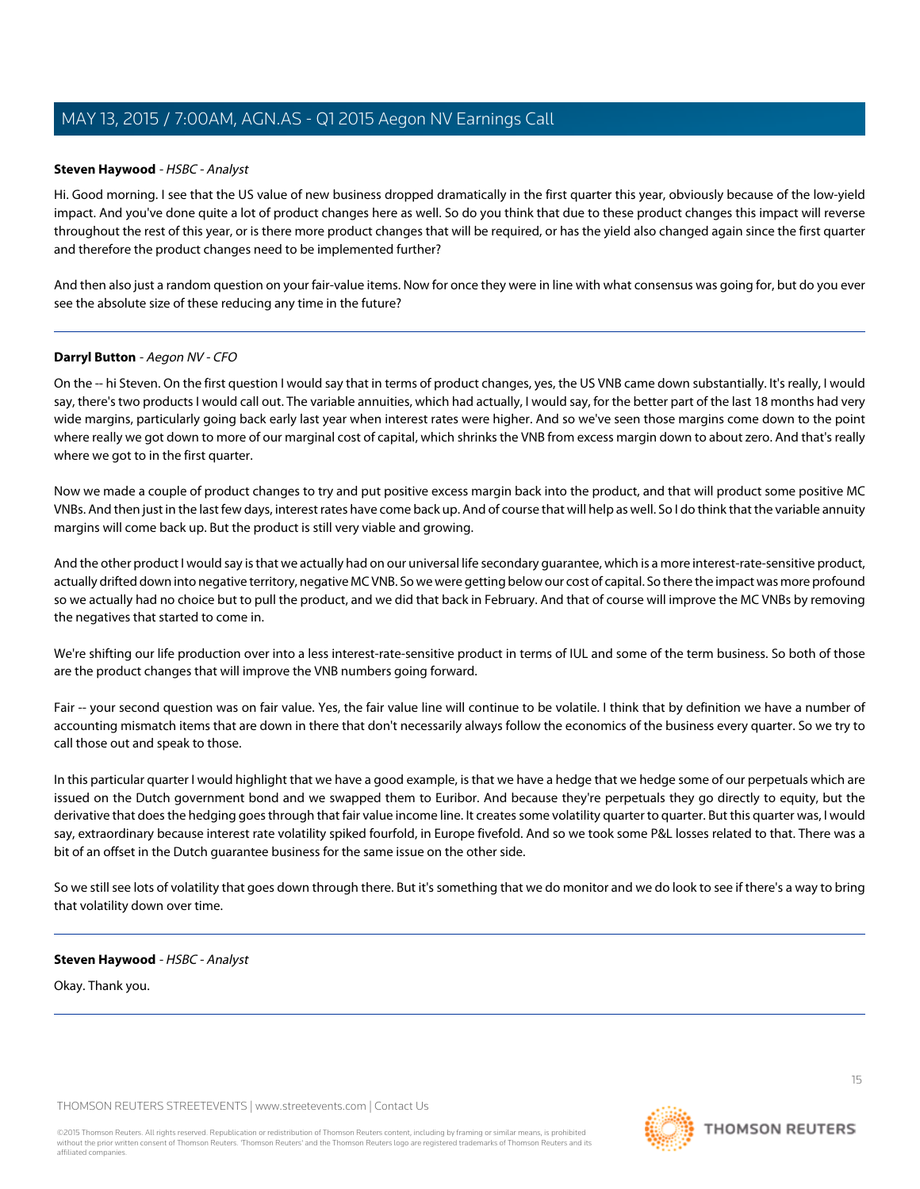# <span id="page-14-0"></span>**Steven Haywood** - HSBC - Analyst

Hi. Good morning. I see that the US value of new business dropped dramatically in the first quarter this year, obviously because of the low-yield impact. And you've done quite a lot of product changes here as well. So do you think that due to these product changes this impact will reverse throughout the rest of this year, or is there more product changes that will be required, or has the yield also changed again since the first quarter and therefore the product changes need to be implemented further?

And then also just a random question on your fair-value items. Now for once they were in line with what consensus was going for, but do you ever see the absolute size of these reducing any time in the future?

# **Darryl Button** - Aegon NV - CFO

On the -- hi Steven. On the first question I would say that in terms of product changes, yes, the US VNB came down substantially. It's really, I would say, there's two products I would call out. The variable annuities, which had actually, I would say, for the better part of the last 18 months had very wide margins, particularly going back early last year when interest rates were higher. And so we've seen those margins come down to the point where really we got down to more of our marginal cost of capital, which shrinks the VNB from excess margin down to about zero. And that's really where we got to in the first quarter.

Now we made a couple of product changes to try and put positive excess margin back into the product, and that will product some positive MC VNBs. And then just in the last few days, interest rates have come back up. And of course that will help as well. So I do think that the variable annuity margins will come back up. But the product is still very viable and growing.

And the other product I would say is that we actually had on our universal life secondary guarantee, which is a more interest-rate-sensitive product, actually drifted down into negative territory, negative MC VNB. So we were getting below our cost of capital. So there the impact was more profound so we actually had no choice but to pull the product, and we did that back in February. And that of course will improve the MC VNBs by removing the negatives that started to come in.

We're shifting our life production over into a less interest-rate-sensitive product in terms of IUL and some of the term business. So both of those are the product changes that will improve the VNB numbers going forward.

Fair -- your second question was on fair value. Yes, the fair value line will continue to be volatile. I think that by definition we have a number of accounting mismatch items that are down in there that don't necessarily always follow the economics of the business every quarter. So we try to call those out and speak to those.

In this particular quarter I would highlight that we have a good example, is that we have a hedge that we hedge some of our perpetuals which are issued on the Dutch government bond and we swapped them to Euribor. And because they're perpetuals they go directly to equity, but the derivative that does the hedging goes through that fair value income line. It creates some volatility quarter to quarter. But this quarter was, I would say, extraordinary because interest rate volatility spiked fourfold, in Europe fivefold. And so we took some P&L losses related to that. There was a bit of an offset in the Dutch guarantee business for the same issue on the other side.

So we still see lots of volatility that goes down through there. But it's something that we do monitor and we do look to see if there's a way to bring that volatility down over time.

# **Steven Haywood** - HSBC - Analyst

Okay. Thank you.